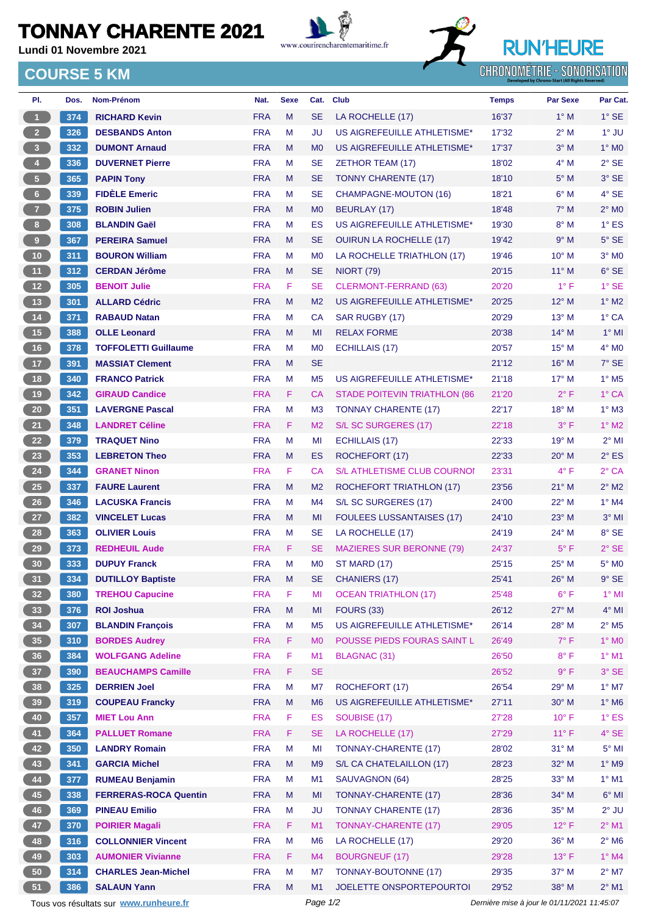## **TONNAY CHARENTE 2021**

**Lundi 01 Novembre 2021**





**CHRONOMÉTRIE - SONORISATION** 

## **COURSE 5 KM**

| PI.                                    | Dos. | Nom-Prénom                   | Nat.                     | <b>Sexe</b> | Cat.                        | <b>Club</b>                         | <b>Temps</b>                                | <b>Par Sexe</b>                 | Par Cat.                       |
|----------------------------------------|------|------------------------------|--------------------------|-------------|-----------------------------|-------------------------------------|---------------------------------------------|---------------------------------|--------------------------------|
| $\blacktriangleleft$                   | 374  | <b>RICHARD Kevin</b>         | <b>FRA</b>               | M           | <b>SE</b>                   | LA ROCHELLE (17)                    | 16'37                                       | $1^\circ$ M                     | $1^\circ$ SE                   |
| $\overline{2}$                         | 326  | <b>DESBANDS Anton</b>        | <b>FRA</b>               | M           | JU                          | US AIGREFEUILLE ATHLETISME*         | 17'32                                       | $2^{\circ}$ M                   | 1° JU                          |
| 3 <sup>7</sup>                         | 332  | <b>DUMONT Arnaud</b>         | <b>FRA</b>               | M           | M <sub>0</sub>              | US AIGREFEUILLE ATHLETISME*         | 17'37                                       | $3^\circ$ M                     | $1^\circ$ MO                   |
| $4 -$                                  | 336  | <b>DUVERNET Pierre</b>       | <b>FRA</b>               | М           | <b>SE</b>                   | <b>ZETHOR TEAM (17)</b>             | 18'02                                       | $4^\circ$ M                     | $2^{\circ}$ SE                 |
| $5 -$                                  | 365  | <b>PAPIN Tony</b>            | <b>FRA</b>               | M           | <b>SE</b>                   | <b>TONNY CHARENTE (17)</b>          | 18'10                                       | $5^\circ$ M                     | 3° SE                          |
| $6 -$                                  | 339  | <b>FIDÈLE Emeric</b>         | <b>FRA</b>               | M           | <b>SE</b>                   | <b>CHAMPAGNE-MOUTON (16)</b>        | 18'21                                       | $6^\circ$ M                     | 4° SE                          |
| 7 <sup>2</sup>                         | 375  | <b>ROBIN Julien</b>          | <b>FRA</b>               | M           | M <sub>0</sub>              | <b>BEURLAY (17)</b>                 | 18'48                                       | $7^\circ$ M                     | $2^{\circ}$ MO                 |
| 8 <sub>1</sub>                         | 308  | <b>BLANDIN Gaël</b>          | <b>FRA</b>               | M           | ES                          | US AIGREFEUILLE ATHLETISME*         | 19'30                                       | $8^\circ$ M                     | $1^\circ$ ES                   |
| $\overline{9}$                         | 367  | <b>PEREIRA Samuel</b>        | <b>FRA</b>               | M           | <b>SE</b>                   | <b>OUIRUN LA ROCHELLE (17)</b>      | 19'42                                       | $9^\circ$ M                     | $5^\circ$ SE                   |
| $10$                                   | 311  | <b>BOURON William</b>        | <b>FRA</b>               | М           | M <sub>0</sub>              | LA ROCHELLE TRIATHLON (17)          | 19'46                                       | $10^{\circ}$ M                  | $3^\circ$ MO                   |
| 11                                     | 312  | <b>CERDAN Jérôme</b>         | <b>FRA</b>               | M           | <b>SE</b>                   | <b>NIORT (79)</b>                   | 20'15                                       | $11^{\circ}$ M                  | $6^\circ$ SE                   |
| 12 <sup>7</sup>                        | 305  | <b>BENOIT Julie</b>          | <b>FRA</b>               | F           | <b>SE</b>                   | <b>CLERMONT-FERRAND (63)</b>        | 20'20                                       | $1^{\circ}$ F                   | $1^\circ$ SE                   |
| 13                                     | 301  | <b>ALLARD Cédric</b>         | <b>FRA</b>               | M           | M <sub>2</sub>              | US AIGREFEUILLE ATHLETISME*         | 20'25                                       | $12^{\circ}$ M                  | $1^\circ$ M2                   |
| $14$                                   | 371  | <b>RABAUD Natan</b>          | <b>FRA</b>               | M           | <b>CA</b>                   | SAR RUGBY (17)                      | 20'29                                       | $13^{\circ}$ M                  | 1° CA                          |
| $15$                                   | 388  | <b>OLLE Leonard</b>          | <b>FRA</b>               | M           | MI                          | <b>RELAX FORME</b>                  | 20'38                                       | $14^{\circ}$ M                  | $1^\circ$ MI                   |
| 16                                     | 378  | <b>TOFFOLETTI Guillaume</b>  | <b>FRA</b>               | M           | M <sub>0</sub>              | ECHILLAIS (17)                      | 20'57                                       | $15^{\circ}$ M                  | $4^\circ$ MO                   |
| 17 <sup>°</sup>                        | 391  | <b>MASSIAT Clement</b>       | <b>FRA</b>               | M           | <b>SE</b>                   |                                     | 21'12                                       | $16^{\circ}$ M                  | 7° SE                          |
| 18                                     | 340  | <b>FRANCO Patrick</b>        | <b>FRA</b>               | М           | M <sub>5</sub>              | US AIGREFEUILLE ATHLETISME*         | 21'18                                       | $17^{\circ}$ M                  | $1^\circ$ M <sub>5</sub>       |
| 19                                     | 342  | <b>GIRAUD Candice</b>        | <b>FRA</b>               | F           | <b>CA</b>                   | <b>STADE POITEVIN TRIATHLON (86</b> | 21'20                                       | $2^{\circ}$ F                   | 1° CA                          |
| 20 <sub>2</sub>                        | 351  | <b>LAVERGNE Pascal</b>       | <b>FRA</b>               | M           | M <sub>3</sub>              | <b>TONNAY CHARENTE (17)</b>         | 22'17                                       | $18^{\circ}$ M                  | $1^\circ$ M3                   |
| 21                                     | 348  | <b>LANDRET Céline</b>        | <b>FRA</b>               | F           | M <sub>2</sub>              | S/L SC SURGERES (17)                | 22'18                                       | $3^{\circ}$ F                   | $1^\circ$ M2                   |
| 22                                     | 379  | <b>TRAQUET Nino</b>          | <b>FRA</b>               | M           | MI                          | <b>ECHILLAIS (17)</b>               | 22'33                                       | 19° M                           | $2^{\circ}$ MI                 |
| 23                                     | 353  | <b>LEBRETON Theo</b>         | <b>FRA</b>               | M           | ES                          | ROCHEFORT (17)                      | 22'33                                       | $20^\circ$ M                    | $2^{\circ}$ ES                 |
| 24                                     | 344  | <b>GRANET Ninon</b>          | <b>FRA</b>               | F.          | <b>CA</b>                   | <b>S/L ATHLETISME CLUB COURNO!</b>  | 23'31                                       | $4^{\circ}$ F                   | $2°$ CA                        |
| 25                                     | 337  | <b>FAURE Laurent</b>         | <b>FRA</b>               | M           | M <sub>2</sub>              | ROCHEFORT TRIATHLON (17)            | 23'56                                       | $21°$ M                         | $2^{\circ}$ M2                 |
| 26                                     | 346  | <b>LACUSKA Francis</b>       | <b>FRA</b>               | М           | M4                          | S/L SC SURGERES (17)                | 24'00                                       | 22° M                           | $1^\circ$ M4                   |
| 27                                     | 382  | <b>VINCELET Lucas</b>        | <b>FRA</b>               | M           | MI                          | <b>FOULEES LUSSANTAISES (17)</b>    | 24'10                                       | 23° M                           | $3°$ MI                        |
| 28                                     | 363  | <b>OLIVIER Louis</b>         | <b>FRA</b>               | м           | <b>SE</b>                   | LA ROCHELLE (17)                    | 24'19                                       | $24^{\circ}$ M                  | 8° SE                          |
| 29                                     | 373  |                              |                          | F.          |                             |                                     |                                             | $5^{\circ}$ F                   |                                |
|                                        |      | <b>REDHEUIL Aude</b>         | <b>FRA</b><br><b>FRA</b> | М           | <b>SE</b><br>M <sub>0</sub> | <b>MAZIERES SUR BERONNE (79)</b>    | 24'37<br>25'15                              | $25^{\circ}$ M                  | $2^{\circ}$ SE<br>$5^\circ$ MO |
| 30 <sub>o</sub>                        | 333  | <b>DUPUY Franck</b>          | <b>FRA</b>               | M           | <b>SE</b>                   | <b>ST MARD (17)</b>                 |                                             |                                 |                                |
| 31                                     | 334  | <b>DUTILLOY Baptiste</b>     |                          |             |                             | CHANIERS (17)                       | 25'41                                       | $26^{\circ}$ M<br>$6^{\circ}$ F | $9°$ SE                        |
| 32 <sub>2</sub>                        | 380  | <b>TREHOU Capucine</b>       | <b>FRA</b>               | F           | МI                          | <b>OCEAN TRIATHLON (17)</b>         | 25'48                                       |                                 | $1^\circ$ MI                   |
| 33                                     | 376  | <b>ROI Joshua</b>            | <b>FRA</b>               | ${\sf M}$   | MI                          | <b>FOURS (33)</b>                   | 26'12                                       | 27° M                           | $4^{\circ}$ MI                 |
| 34                                     | 307  | <b>BLANDIN François</b>      | <b>FRA</b>               | M           | M <sub>5</sub>              | US AIGREFEUILLE ATHLETISME*         | 26'14                                       | 28° M                           | $2^{\circ}$ M <sub>5</sub>     |
| 35 <sub>5</sub>                        | 310  | <b>BORDES Audrey</b>         | <b>FRA</b>               | F           | M <sub>0</sub>              | POUSSE PIEDS FOURAS SAINT L         | 26'49                                       | $7^\circ$ F                     | 1° MO                          |
| 36 <sup>°</sup>                        | 384  | <b>WOLFGANG Adeline</b>      | <b>FRA</b>               | F           | M1                          | BLAGNAC (31)                        | 26'50                                       | $8^{\circ}$ F                   | $1^\circ$ M1                   |
| 37 <sup>°</sup>                        | 390  | <b>BEAUCHAMPS Camille</b>    | <b>FRA</b>               | F           | <b>SE</b>                   |                                     | 26'52                                       | 9° F                            | 3° SE                          |
| 38                                     | 325  | <b>DERRIEN Joel</b>          | <b>FRA</b>               | M           | M7                          | ROCHEFORT (17)                      | 26'54                                       | 29° M                           | $1^\circ$ M7                   |
| 39                                     | 319  | <b>COUPEAU Francky</b>       | <b>FRA</b>               | M           | M <sub>6</sub>              | US AIGREFEUILLE ATHLETISME*         | 27'11                                       | $30^\circ$ M                    | $1^\circ$ M6                   |
| 40                                     | 357  | <b>MIET Lou Ann</b>          | <b>FRA</b>               | F           | ES                          | SOUBISE (17)                        | 27'28                                       | $10^{\circ}$ F                  | $1^\circ$ ES                   |
| 41                                     | 364  | <b>PALLUET Romane</b>        | <b>FRA</b>               | F           | <b>SE</b>                   | LA ROCHELLE (17)                    | 27'29                                       | $11^{\circ}$ F                  | 4° SE                          |
| 42                                     | 350  | <b>LANDRY Romain</b>         | <b>FRA</b>               | M           | MI                          | <b>TONNAY-CHARENTE (17)</b>         | 28'02                                       | $31°$ M                         | $5^\circ$ MI                   |
| 43                                     | 341  | <b>GARCIA Michel</b>         | <b>FRA</b>               | M           | M <sub>9</sub>              | S/L CA CHATELAILLON (17)            | 28'23                                       | 32° M                           | 1° M9                          |
| 44                                     | 377  | <b>RUMEAU Benjamin</b>       | <b>FRA</b>               | M           | M1                          | SAUVAGNON (64)                      | 28'25                                       | 33° M                           | $1^\circ$ M1                   |
| 45                                     | 338  | <b>FERRERAS-ROCA Quentin</b> | <b>FRA</b>               | M           | MI                          | <b>TONNAY-CHARENTE (17)</b>         | 28'36                                       | 34° M                           | $6°$ MI                        |
| 46                                     | 369  | <b>PINEAU Emilio</b>         | <b>FRA</b>               | M           | <b>JU</b>                   | <b>TONNAY CHARENTE (17)</b>         | 28'36                                       | 35° M                           | $2^{\circ}$ JU                 |
| 47                                     | 370  | <b>POIRIER Magali</b>        | <b>FRA</b>               | F.          | M1                          | <b>TONNAY-CHARENTE (17)</b>         | 29'05                                       | $12^{\circ}$ F                  | $2^{\circ}$ M1                 |
| 48                                     | 316  | <b>COLLONNIER Vincent</b>    | <b>FRA</b>               | M           | M <sub>6</sub>              | LA ROCHELLE (17)                    | 29'20                                       | 36° M                           | $2^{\circ}$ M6                 |
| 49                                     | 303  | <b>AUMONIER Vivianne</b>     | <b>FRA</b>               | F           | M4                          | <b>BOURGNEUF (17)</b>               | 29'28                                       | $13^{\circ}$ F                  | 1° M4                          |
| 50                                     | 314  | <b>CHARLES Jean-Michel</b>   | <b>FRA</b>               | M           | M7                          | TONNAY-BOUTONNE (17)                | 29'35                                       | $37^\circ$ M                    | $2^{\circ}$ M7                 |
| 51                                     | 386  | <b>SALAUN Yann</b>           | <b>FRA</b>               | M           | M1                          | JOELETTE ONSPORTEPOURTOI            | 29'52                                       | 38° M                           | $2^{\circ}$ M1                 |
| Tous vos résultats sur www.runheure.fr |      |                              |                          |             | Page 1/2                    |                                     | Dernière mise à jour le 01/11/2021 11:45:07 |                                 |                                |